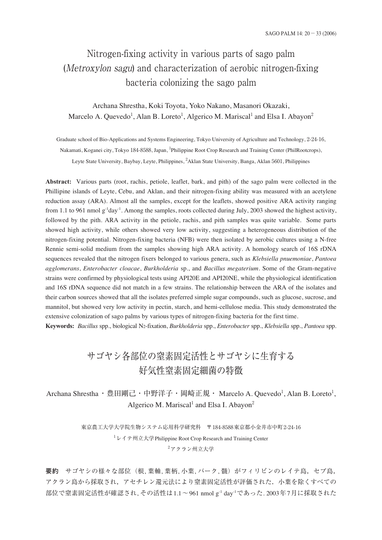# Nitrogen-fixing activity in various parts of sago palm (Metroxylon sagu) and characterization of aerobic nitrogen-fixing bacteria colonizing the sago palm

# Archana Shrestha, Koki Toyota, Yoko Nakano, Masanori Okazaki, Marcelo A. Quevedo<sup>1</sup>, Alan B. Loreto<sup>1</sup>, Algerico M. Mariscal<sup>1</sup> and Elsa I. Abayon<sup>2</sup>

Graduate school of Bio-Applications and Systems Engineering, Tokyo University of Agriculture and Technology, 2-24-16, Nakamati, Koganei city, Tokyo 184-8588, Japan, <sup>1</sup>Philippine Root Crop Research and Training Center (PhilRootcrops), Leyte State University, Baybay, Leyte, Philippines, <sup>2</sup>Aklan State University, Banga, Aklan 5601, Philippines

**Abstract:** Various parts (root, rachis, petiole, leaflet, bark, and pith) of the sago palm were collected in the Phillipine islands of Leyte, Cebu, and Aklan, and their nitrogen-fixing ability was measured with an acetylene reduction assay (ARA). Almost all the samples, except for the leaflets, showed positive ARA activity ranging from 1.1 to 961 nmol  $g^{-1}day^{-1}$ . Among the samples, roots collected during July, 2003 showed the highest activity, followed by the pith. ARA activity in the petiole, rachis, and pith samples was quite variable. Some parts showed high activity, while others showed very low activity, suggesting a heterogeneous distribution of the nitrogen-fixing potential. Nitrogen-fixing bacteria (NFB) were then isolated by aerobic cultures using a N-free Rennie semi-solid medium from the samples showing high ARA activity. A homology search of 16S rDNA sequences revealed that the nitrogen fixers belonged to various genera, such as *Klebsiella pnuemoniae*, *Pantoea agglomerans*, *Enterobacter cloacae*, *Burkholderia* sp., and *Bacillus megaterium*. Some of the Gram-negative strains were confirmed by physiological tests using API20E and API20NE, while the physiological identification and 16S rDNA sequence did not match in a few strains. The relationship between the ARA of the isolates and their carbon sources showed that all the isolates preferred simple sugar compounds, such as glucose, sucrose, and mannitol, but showed very low activity in pectin, starch, and hemi-cellulose media. This study demonstrated the extensive colonization of sago palms by various types of nitrogen-fixing bacteria for the first time.

**Keywords:** *Bacillus* spp., biological N2-fixation, *Burkholderia* spp., *Enterobacter* spp., *Klebsiella* spp., *Pantoea* spp.

# サゴヤシ各部位の窒素固定活性とサゴヤシに生育する 好気性窒素固定細菌の特徴

Archana Shrestha ・豊田剛己・中野洋子・岡崎正規・ Marcelo A. Quevedo<sup>1</sup>, Alan B. Loreto<sup>1</sup>, Algerico M. Mariscal<sup>1</sup> and Elsa I. Abayon<sup>2</sup>

> 東京農工大学大学院生物システム応用科学研究科 〒184-8588東京都小金井市中町2-24-16 1 レイテ州立大学Philippine Root Crop Research and Training Center  $2$ アクラン州立大学

要約 サゴヤシの様々な部位(根, 葉軸, 葉柄, 小葉, バーク, 髄)がフィリピンのレイテ島, セブ島, アクラン島から採取され,アセチレン還元法により窒素固定活性が評価された.小葉を除くすべての 部位で窒素固定活性が確認され, その活性は1.1〜961 nmol g-1 day-1であった. 2003年7月に採取された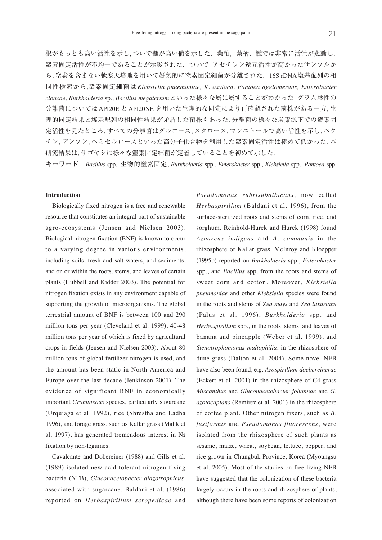根がもっとも高い活性を示し, ついで髄が高い値を示した.葉軸,葉柄,髄では非常に活性が変動し, 窒素固定活性が不均一であることが示唆された.ついで, アセチレン還元活性が高かったサンプルか ら, 窒素を含まない軟寒天培地を用いて好気的に窒素固定細菌が分離された.16S rDNA塩基配列の相 同性検索から,窒素固定細菌は *Klebsiella pnuemoniae, K. oxytoca, Pantoea agglomerans, Enterobacter cloacae, Burkholderia* sp., *Bacillus megaterium*といった様々な属に属することがわかった. グラム陰性の 分離菌についてはAPI20E とAPI20NE を用いた生理的な同定により再確認された菌株がある一方, 生 理的同定結果と塩基配列の相同性結果が矛盾した菌株もあった. 分離菌の様々な炭素源下での窒素固 定活性を見たところ, すべての分離菌はグルコース, スクロース, マンニトールで高い活性を示し, ペク チン, デンプン, ヘミセルロースといった高分子化合物を利用した窒素固定活性は極めて低かった. 本 研究結果は, サゴヤシに様々な窒素固定細菌が定着していることを初めて示した.

**キーワード** *Bacillus* spp., 生物的窒素固定, *Burkholderia* spp., *Enterobacter* spp., *Klebsiella* spp., *Pantoea* spp.

### **Introduction**

Biologically fixed nitrogen is a free and renewable resource that constitutes an integral part of sustainable agro-ecosystems (Jensen and Nielsen 2003). Biological nitrogen fixation (BNF) is known to occur to a varying degree in various environments, including soils, fresh and salt waters, and sediments, and on or within the roots, stems, and leaves of certain plants (Hubbell and Kidder 2003). The potential for nitrogen fixation exists in any environment capable of supporting the growth of microorganisms. The global terrestrial amount of BNF is between 100 and 290 million tons per year (Cleveland et al. 1999), 40-48 million tons per year of which is fixed by agricultural crops in fields (Jensen and Nielsen 2003). About 80 million tons of global fertilizer nitrogen is used, and the amount has been static in North America and Europe over the last decade (Jenkinson 2001). The evidence of significant BNF in economically important *Gramineous* species, particularly sugarcane (Urquiaga et al. 1992), rice (Shrestha and Ladha 1996), and forage grass, such as Kallar grass (Malik et al. 1997), has generated tremendous interest in N2 fixation by non-legumes.

Cavalcante and Dobereiner (1988) and Gills et al. (1989) isolated new acid-tolerant nitrogen-fixing bacteria (NFB), *Gluconacetobacter diazotrophicus*, associated with sugarcane. Baldani et al. (1986) reported on *Herbaspirillum seropedicae* and *Pseudomonas rubrisubalbicans*, now called *Herbaspirillum* (Baldani et al. 1996), from the surface-sterilized roots and stems of corn, rice, and sorghum. Reinhold-Hurek and Hurek (1998) found *Azoarcus indigens* and *A. communis* in the rhizosphere of Kallar grass. McInroy and Kloepper (1995b) reported on *Burkholderia* spp., *Enterobacter* spp., and *Bacillus* spp. from the roots and stems of sweet corn and cotton. Moreover, *Klebsiella pneumoniae* and other *Klebsiella* species were found in the roots and stems of *Zea mays* and *Zea luxurians* (Palus et al. 1996), *Burkholderia* spp. and *Herbaspirillum* spp., in the roots, stems, and leaves of banana and pineapple (Weber et al. 1999), and *Stenotrophomonas maltophilia*, in the rhizosphere of dune grass (Dalton et al. 2004). Some novel NFB have also been found, e.g. *Azospirillum doebereinerae* (Eckert et al. 2001) in the rhizosphere of C4-grass *Miscanthus* and *Gluconacetobacter johannae* and *G. azotocaptans* (Ramirez et al. 2001) in the rhizosphere of coffee plant. Other nitrogen fixers, such as *B. fusiformis* and *Pseudomonas fluorescens*, were isolated from the rhizosphere of such plants as sesame, maize, wheat, soybean, lettuce, pepper, and rice grown in Chungbuk Province, Korea (Myoungsu et al. 2005). Most of the studies on free-living NFB have suggested that the colonization of these bacteria largely occurs in the roots and rhizosphere of plants, although there have been some reports of colonization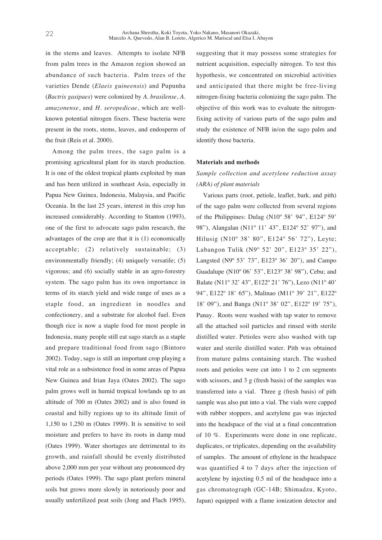in the stems and leaves. Attempts to isolate NFB from palm trees in the Amazon region showed an abundance of such bacteria. Palm trees of the varieties Dende (*Elaeis guineensis*) and Pupunha (*Bactris gasipaes*) were colonized by *A. brasilense*, *A. amazonense*, and *H. seropedicae*, which are wellknown potential nitrogen fixers. These bacteria were present in the roots, stems, leaves, and endosperm of the fruit (Reis et al. 2000).

Among the palm trees, the sago palm is a promising agricultural plant for its starch production. It is one of the oldest tropical plants exploited by man and has been utilized in southeast Asia, especially in Papua New Guinea, Indonesia, Malaysia, and Pacific Oceania. In the last 25 years, interest in this crop has increased considerably. According to Stanton (1993), one of the first to advocate sago palm research, the advantages of the crop are that it is (1) economically acceptable; (2) relatively sustainable; (3) environmentally friendly; (4) uniquely versatile; (5) vigorous; and (6) socially stable in an agro-forestry system. The sago palm has its own importance in terms of its starch yield and wide range of uses as a staple food, an ingredient in noodles and confectionery, and a substrate for alcohol fuel. Even though rice is now a staple food for most people in Indonesia, many people still eat sago starch as a staple and prepare traditional food from sago (Bintoro 2002). Today, sago is still an important crop playing a vital role as a subsistence food in some areas of Papua New Guinea and Irian Jaya (Oates 2002). The sago palm grows well in humid tropical lowlands up to an altitude of 700 m (Oates 2002) and is also found in coastal and hilly regions up to its altitude limit of 1,150 to 1,250 m (Oates 1999). It is sensitive to soil moisture and prefers to have its roots in damp mud (Oates 1999). Water shortages are detrimental to its growth, and rainfall should be evenly distributed above 2,000 mm per year without any pronounced dry periods (Oates 1999). The sago plant prefers mineral soils but grows more slowly in notoriously poor and usually unfertilized peat soils (Jong and Flach 1995), suggesting that it may possess some strategies for nutrient acquisition, especially nitrogen. To test this hypothesis, we concentrated on microbial activities and anticipated that there might be free-living nitrogen-fixing bacteria colonizing the sago palm. The objective of this work was to evaluate the nitrogenfixing activity of various parts of the sago palm and study the existence of NFB in/on the sago palm and identify those bacteria.

#### **Materials and methods**

## *Sample collection and acetylene reduction assay (ARA) of plant materials*

Various parts (root, petiole, leaflet, bark, and pith) of the sago palm were collected from several regions of the Philippines: Dulag  $(N10^{\circ} 58' 94''$ , E124 $^{\circ} 59'$ 98"), Alangalan (N11º 11' 43", E124º 52' 97"), and Hilusig (N10º 38' 80", E124º 56' 72"), Leyte; Labangon Tulik (N9º 52' 20", E123º 35' 22"), Langsted (N9º 53' 73", E123º 36' 20"), and Campo Guadalupe (N10º 06' 53", E123º 38' 98"), Cebu; and Balate (N11º 32' 43", E122º 21' 76"), Lezo (N11º 40' 94", E122º 18' 65"), Malinao (M11º 39' 21", E122º 18' 09"), and Banga (N11º 38' 02", E122º 19' 75"), Panay. Roots were washed with tap water to remove all the attached soil particles and rinsed with sterile distilled water. Petioles were also washed with tap water and sterile distilled water. Pith was obtained from mature palms containing starch. The washed roots and petioles were cut into 1 to 2 cm segments with scissors, and 3 g (fresh basis) of the samples was transferred into a vial. Three g (fresh basis) of pith sample was also put into a vial. The vials were capped with rubber stoppers, and acetylene gas was injected into the headspace of the vial at a final concentration of 10 %. Experiments were done in one replicate, duplicates, or triplicates, depending on the availability of samples. The amount of ethylene in the headspace was quantified 4 to 7 days after the injection of acetylene by injecting 0.5 ml of the headspace into a gas chromatograph (GC-14B; Shimadzu, Kyoto, Japan) equipped with a flame ionization detector and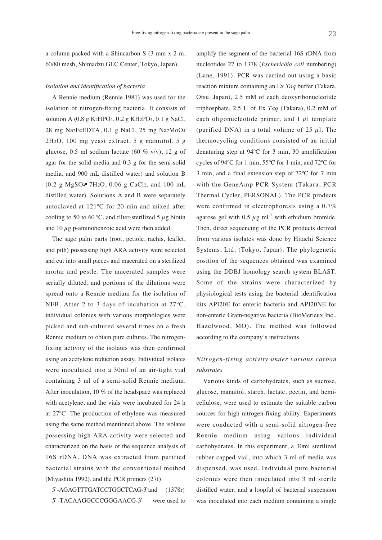a column packed with a Shincarbon S (3 mm x 2 m, 60/80 mesh, Shimadzu GLC Center, Tokyo, Japan).

#### *Isolation and identification of bacteria*

A Rennie medium (Rennie 1981) was used for the isolation of nitrogen-fixing bacteria. It consists of solution A (0.8 g K2HPO4, 0.2 g KH2PO4, 0.1 g NaCl, 28 mg Na2FeEDTA, 0.1 g NaCl, 25 mg Na2MoO4 2H2O, 100 mg yeast extract, 5 g mannitol, 5 g glucose, 0.5 ml sodium lactate (60 % v/v), 12 g of agar for the solid media and 0.3 g for the semi-solid media, and 900 mL distilled water) and solution B (0.2 g MgSO4 7H2O, 0.06 g CaCl2, and 100 mL distilled water). Solutions A and B were separately autoclaved at 121ºC for 20 min and mixed after cooling to 50 to 60 °C, and filter-sterilized 5  $\mu$ g biotin and 10  $\mu$ g p-aminobenzoic acid were then added.

The sago palm parts (root, petiole, rachis, leaflet, and pith) possessing high ARA activity were selected and cut into small pieces and macerated on a sterilized mortar and pestle. The macerated samples were serially diluted, and portions of the dilutions were spread onto a Rennie medium for the isolation of NFB. After 2 to 3 days of incubation at 27ºC, individual colonies with various morphologies were picked and sub-cultured several times on a fresh Rennie medium to obtain pure cultures. The nitrogenfixing activity of the isolates was then confirmed using an acetylene reduction assay. Individual isolates were inoculated into a 30ml of an air-tight vial containing 3 ml of a semi-solid Rennie medium. After inoculation, 10 % of the headspace was replaced with acetylene, and the vials were incubated for 24 h at 27ºC. The production of ethylene was measured using the same method mentioned above. The isolates possessing high ARA activity were selected and characterized on the basis of the sequence analysis of 16S rDNA. DNA was extracted from purified bacterial strains with the conventional method (Miyashita 1992), and the PCR primers (27f)

5`-AGAGTTTGATCCTGGCTCAG-3`and (1378r) 5`-TACAAGGCCCGGGAACG-3` were used to

amplify the segment of the bacterial 16S rDNA from nucleotides 27 to 1378 (*Escherichia coli* numbering) (Lane, 1991). PCR was carried out using a basic reaction mixture containing an Ex *Taq* buffer (Takara, Otsu, Japan), 2.5 mM of each deoxyribonucleotide triphosphate, 2.5 U of Ex *Taq* (Takara), 0.2 mM of each oligonucleotide primer, and  $1 \mu l$  template (purified DNA) in a total volume of 25  $\mu$ 1. The thermocycling conditions consisted of an initial denaturing step at 94ºC for 3 min, 30 amplification cycles of 94ºC for 1 min, 55ºC for 1 min, and 72ºC for 3 min, and a final extension step of 72ºC for 7 min with the GeneAmp PCR System (Takara, PCR Thermal Cycler, PERSONAL). The PCR products were confirmed in electrophoresis using a 0.7% agarose gel with 0.5  $\mu$ g ml<sup>-1</sup> with ethidium bromide. Then, direct sequencing of the PCR products derived from various isolates was done by Hitachi Science Systems, Ltd. (Tokyo, Japan). The phylogenetic position of the sequences obtained was examined using the DDBJ homology search system BLAST. Some of the strains were characterized by physiological tests using the bacterial identification kits API20E for enteric bacteria and API20NE for non-enteric Gram-negative bacteria (BioMerieux Inc., Hazelwood, MO). The method was followed according to the company's instructions.

## *Nitrogen-fixing activity under various carbon substrates*

Various kinds of carbohydrates, such as sucrose, glucose, mannitol, starch, lactate, pectin, and hemicellulose, were used to estimate the suitable carbon sources for high nitrogen-fixing ability. Experiments were conducted with a semi-solid nitrogen-free Rennie medium using various individual carbohydrates. In this experiment, a 30ml sterilized rubber capped vial, into which 3 ml of media was dispensed, was used. Individual pure bacterial colonies were then inoculated into 3 ml sterile distilled water, and a loopful of bacterial suspension was inoculated into each medium containing a single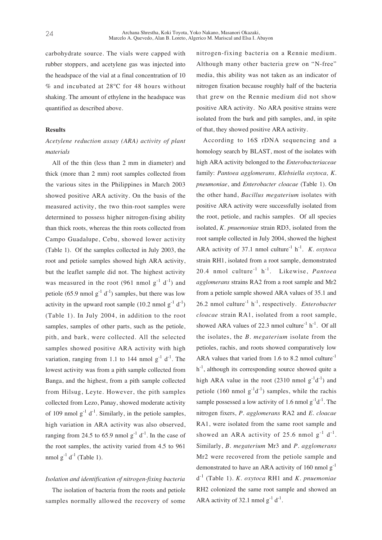carbohydrate source. The vials were capped with rubber stoppers, and acetylene gas was injected into the headspace of the vial at a final concentration of 10 % and incubated at 28ºC for 48 hours without shaking. The amount of ethylene in the headspace was quantified as described above.

### **Results**

## *Acetylene reduction assay (ARA) activity of plant materials*

All of the thin (less than 2 mm in diameter) and thick (more than 2 mm) root samples collected from the various sites in the Philippines in March 2003 showed positive ARA activity. On the basis of the measured activity, the two thin-root samples were determined to possess higher nitrogen-fixing ability than thick roots, whereas the thin roots collected from Campo Guadalupe, Cebu, showed lower activity (Table 1). Of the samples collected in July 2003, the root and petiole samples showed high ARA activity, but the leaflet sample did not. The highest activity was measured in the root (961 nmol  $g^{-1}$  d<sup>-1</sup>) and petiole (65.9 nmol  $g^{-1}$  d<sup>-1</sup>) samples, but there was low activity in the upward root sample (10.2 nmol  $g^{-1}$  d<sup>-1</sup>) (Table 1). In July 2004, in addition to the root samples, samples of other parts, such as the petiole, pith, and bark, were collected. All the selected samples showed positive ARA activity with high variation, ranging from 1.1 to 144 nmol  $g^{-1}$  d<sup>-1</sup>. The lowest activity was from a pith sample collected from Banga, and the highest, from a pith sample collected from Hilsug, Leyte. However, the pith samples collected from Lezo, Panay, showed moderate activity of 109 nmol  $g^{-1}$  d<sup>-1</sup>. Similarly, in the petiole samples, high variation in ARA activity was also observed, ranging from 24.5 to 65.9 nmol  $g^{-1}$  d<sup>-1</sup>. In the case of the root samples, the activity varied from 4.5 to 961 nmol  $g^{-1} d^{-1}$  (Table 1).

## *Isolation and identification of nitrogen-fixing bacteria*

The isolation of bacteria from the roots and petiole samples normally allowed the recovery of some nitrogen-fixing bacteria on a Rennie medium. Although many other bacteria grew on "N-free" media, this ability was not taken as an indicator of nitrogen fixation because roughly half of the bacteria that grew on the Rennie medium did not show positive ARA activity. No ARA positive strains were isolated from the bark and pith samples, and, in spite of that, they showed positive ARA activity.

According to 16S rDNA sequencing and a homology search by BLAST, most of the isolates with high ARA activity belonged to the *Enterobacteriaceae* family: *Pantoea agglomerans, Klebsiella oxytoca, K. pneumoniae*, and *Enterobacter cloacae* (Table 1). On the other hand, *Bacillus megaterium* isolates with positive ARA activity were successfully isolated from the root, petiole, and rachis samples. Of all species isolated, *K. pnuemoniae* strain RD3, isolated from the root sample collected in July 2004, showed the highest ARA activity of 37.1 nmol culture<sup>-1</sup> h<sup>-1</sup>. *K. oxytoca* strain RH1, isolated from a root sample, demonstrated 20.4 nmol culture-1 h-1. Likewise, *Pantoea agglomerans* strains RA2 from a root sample and Mr2 from a petiole sample showed ARA values of 35.1 and 26.2 nmol culture-1 h-1, respectively. *Enterobacter cloacae* strain RA1, isolated from a root sample, showed ARA values of 22.3 nmol culture<sup>-1</sup> h<sup>-1</sup>. Of all the isolates, the *B. megaterium* isolate from the petioles, rachis, and roots showed comparatively low ARA values that varied from 1.6 to 8.2 nmol culture<sup>-1</sup>  $h^{-1}$ , although its corresponding source showed quite a high ARA value in the root (2310 nmol  $g^{-1}d^{-1}$ ) and petiole (160 nmol  $g^{-1}d^{-1}$ ) samples, while the rachis sample possessed a low activity of 1.6 nmol  $g^{-1}d^{-1}$ . The nitrogen fixers, *P. agglomerans* RA2 and *E. cloacae* RA1, were isolated from the same root sample and showed an ARA activity of 25.6 nmol  $g^{-1}$  d<sup>-1</sup>. Similarly, *B. megaterium* Mr3 and *P. agglomerans* Mr2 were recovered from the petiole sample and demonstrated to have an ARA activity of 160 nmol  $g^{-1}$ d-1 (Table 1). *K. oxytoca* RH1 and *K. pnuemoniae* RH2 colonized the same root sample and showed an ARA activity of 32.1 nmol  $g^{-1} d^{-1}$ .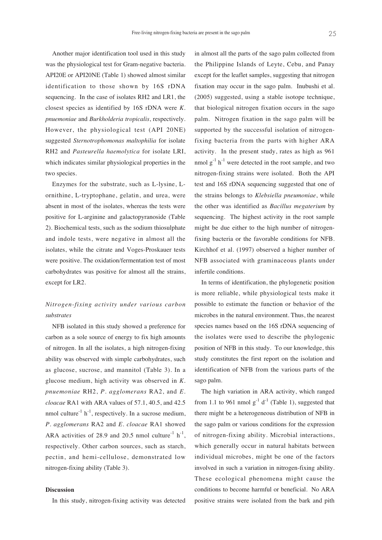Another major identification tool used in this study was the physiological test for Gram-negative bacteria. API20E or API20NE (Table 1) showed almost similar identification to those shown by 16S rDNA sequencing. In the case of isolates RH2 and LR1, the closest species as identified by 16S rDNA were *K. pnuemoniae* and *Burkholderia tropicalis*, respectively. However, the physiological test (API 20NE) suggested *Sternotrophomonas maltophilia* for isolate RH2 and *Pasteurella haemolytica* for isolate LRI, which indicates similar physiological properties in the two species.

Enzymes for the substrate, such as L-lysine, Lornithine, L-tryptophane, gelatin, and urea, were absent in most of the isolates, whereas the tests were positive for L-arginine and galactopyranoside (Table 2). Biochemical tests, such as the sodium thiosulphate and indole tests, were negative in almost all the isolates, while the citrate and Voges-Proskauer tests were positive. The oxidation/fermentation test of most carbohydrates was positive for almost all the strains, except for LR2.

## *Nitrogen-fixing activity under various carbon substrates*

NFB isolated in this study showed a preference for carbon as a sole source of energy to fix high amounts of nitrogen. In all the isolates, a high nitrogen-fixing ability was observed with simple carbohydrates, such as glucose, sucrose, and mannitol (Table 3). In a glucose medium, high activity was observed in *K. pnuemoniae* RH2, *P. agglomerans* RA2, and *E. cloacae* RA1 with ARA values of 57.1, 40.5, and 42.5 nmol culture<sup>-1</sup> h<sup>-1</sup>, respectively. In a sucrose medium, *P. agglomerans* RA2 and *E. cloacae* RA1 showed ARA activities of 28.9 and 20.5 nmol culture<sup>-1</sup> h<sup>-1</sup>, respectively. Other carbon sources, such as starch, pectin, and hemi-cellulose, demonstrated low nitrogen-fixing ability (Table 3).

#### **Discussion**

In this study, nitrogen-fixing activity was detected

in almost all the parts of the sago palm collected from the Philippine Islands of Leyte, Cebu, and Panay except for the leaflet samples, suggesting that nitrogen fixation may occur in the sago palm. Inubushi et al. (2005) suggested, using a stable isotope technique, that biological nitrogen fixation occurs in the sago palm. Nitrogen fixation in the sago palm will be supported by the successful isolation of nitrogenfixing bacteria from the parts with higher ARA activity. In the present study, rates as high as 961 nmol  $g^{-1}$  h<sup>-1</sup> were detected in the root sample, and two nitrogen-fixing strains were isolated. Both the API test and 16S rDNA sequencing suggested that one of the strains belongs to *Klebsiella pneumoniae*, while the other was identified as *Bacillus megaterium* by sequencing. The highest activity in the root sample might be due either to the high number of nitrogenfixing bacteria or the favorable conditions for NFB. Kirchhof et al. (1997) observed a higher number of NFB associated with graminaceous plants under infertile conditions.

In terms of identification, the phylogenetic position is more reliable, while physiological tests make it possible to estimate the function or behavior of the microbes in the natural environment. Thus, the nearest species names based on the 16S rDNA sequencing of the isolates were used to describe the phylogenic position of NFB in this study. To our knowledge, this study constitutes the first report on the isolation and identification of NFB from the various parts of the sago palm.

The high variation in ARA activity, which ranged from 1.1 to 961 nmol  $g^{-1}$  d<sup>-1</sup> (Table 1), suggested that there might be a heterogeneous distribution of NFB in the sago palm or various conditions for the expression of nitrogen-fixing ability. Microbial interactions, which generally occur in natural habitats between individual microbes, might be one of the factors involved in such a variation in nitrogen-fixing ability. These ecological phenomena might cause the conditions to become harmful or beneficial. No ARA positive strains were isolated from the bark and pith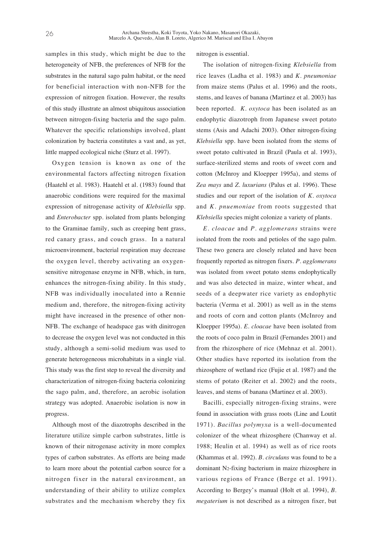samples in this study, which might be due to the heterogeneity of NFB, the preferences of NFB for the substrates in the natural sago palm habitat, or the need for beneficial interaction with non-NFB for the expression of nitrogen fixation. However, the results of this study illustrate an almost ubiquitous association between nitrogen-fixing bacteria and the sago palm. Whatever the specific relationships involved, plant colonization by bacteria constitutes a vast and, as yet, little mapped ecological niche (Sturz et al. 1997).

Oxygen tension is known as one of the environmental factors affecting nitrogen fixation (Haatehl et al. 1983). Haatehl et al. (1983) found that anaerobic conditions were required for the maximal expression of nitrogenase activity of *Klebsiella* spp. and *Enterobacter* spp. isolated from plants belonging to the Graminae family, such as creeping bent grass, red canary grass, and couch grass. In a natural microenvironment, bacterial respiration may decrease the oxygen level, thereby activating an oxygensensitive nitrogenase enzyme in NFB, which, in turn, enhances the nitrogen-fixing ability. In this study, NFB was individually inoculated into a Rennie medium and, therefore, the nitrogen-fixing activity might have increased in the presence of other non-NFB. The exchange of headspace gas with dinitrogen to decrease the oxygen level was not conducted in this study, although a semi-solid medium was used to generate heterogeneous microhabitats in a single vial. This study was the first step to reveal the diversity and characterization of nitrogen-fixing bacteria colonizing the sago palm, and, therefore, an aerobic isolation strategy was adopted. Anaerobic isolation is now in progress.

Although most of the diazotrophs described in the literature utilize simple carbon substrates, little is known of their nitrogenase activity in more complex types of carbon substrates. As efforts are being made to learn more about the potential carbon source for a nitrogen fixer in the natural environment, an understanding of their ability to utilize complex substrates and the mechanism whereby they fix

nitrogen is essential.

The isolation of nitrogen-fixing *Klebsiella* from rice leaves (Ladha et al. 1983) and *K. pneumoniae* from maize stems (Palus et al. 1996) and the roots, stems, and leaves of banana (Martinez et al. 2003) has been reported. *K. oxytoca* has been isolated as an endophytic diazotroph from Japanese sweet potato stems (Asis and Adachi 2003). Other nitrogen-fixing *Klebsiella* spp. have been isolated from the stems of sweet potato cultivated in Brazil (Paula et al. 1993), surface-sterilized stems and roots of sweet corn and cotton (McInroy and Kloepper 1995a), and stems of *Zea mays* and *Z. luxurians* (Palus et al. 1996). These studies and our report of the isolation of *K. oxytoca* and *K. pnuemoniae* from roots suggested that *Klebsiella* species might colonize a variety of plants.

*E. cloacae* and *P. agglomerans* strains were isolated from the roots and petioles of the sago palm. These two genera are closely related and have been frequently reported as nitrogen fixers. *P. agglomerans* was isolated from sweet potato stems endophytically and was also detected in maize, winter wheat, and seeds of a deepwater rice variety as endophytic bacteria (Verma et al. 2001) as well as in the stems and roots of corn and cotton plants (McInroy and Kloepper 1995a). *E. cloacae* have been isolated from the roots of coco palm in Brazil (Fernandes 2001) and from the rhizosphere of rice (Mehnaz et al. 2001). Other studies have reported its isolation from the rhizosphere of wetland rice (Fujie et al. 1987) and the stems of potato (Reiter et al. 2002) and the roots, leaves, and stems of banana (Martinez et al. 2003).

Bacilli, especially nitrogen-fixing strains, were found in association with grass roots (Line and Loutit 1971). *Bacillus polymyxa* is a well-documented colonizer of the wheat rhizosphere (Chanway et al. 1988; Heulin et al. 1994) as well as of rice roots (Khammas et al. 1992). *B. circulans* was found to be a dominant N2-fixing bacterium in maize rhizosphere in various regions of France (Berge et al. 1991). According to Bergey's manual (Holt et al. 1994), *B. megaterium* is not described as a nitrogen fixer, but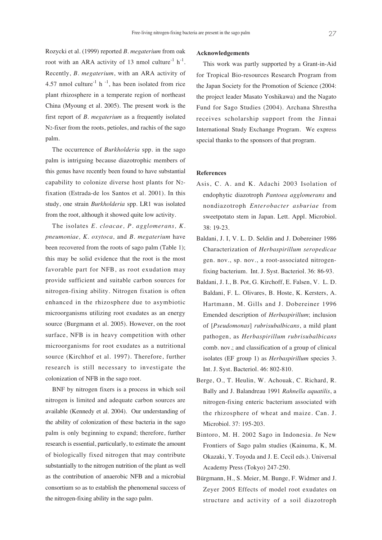Rozycki et al. (1999) reported *B. megaterium* from oak root with an ARA activity of 13 nmol culture<sup>-1</sup> h<sup>-1</sup>. Recently, *B. megaterium*, with an ARA activity of 4.57 nmol culture<sup>-1</sup> h<sup>-1</sup>, has been isolated from rice plant rhizosphere in a temperate region of northeast China (Myoung et al. 2005). The present work is the first report of *B. megaterium* as a frequently isolated N2-fixer from the roots, petioles, and rachis of the sago palm.

The occurrence of *Burkholderia* spp. in the sago palm is intriguing because diazotrophic members of this genus have recently been found to have substantial capability to colonize diverse host plants for N2 fixation (Estrada-de los Santos et al. 2001). In this study, one strain *Burkholderia* spp. LR1 was isolated from the root, although it showed quite low activity.

The isolates *E. cloacae, P. agglomerans, K. pneumoniae, K. oxytoca,* and *B. megaterium* have been recovered from the roots of sago palm (Table 1); this may be solid evidence that the root is the most favorable part for NFB, as root exudation may provide sufficient and suitable carbon sources for nitrogen-fixing ability. Nitrogen fixation is often enhanced in the rhizosphere due to asymbiotic microorganisms utilizing root exudates as an energy source (Burgmann et al. 2005). However, on the root surface, NFB is in heavy competition with other microorganisms for root exudates as a nutritional source (Kirchhof et al. 1997). Therefore, further research is still necessary to investigate the colonization of NFB in the sago root.

BNF by nitrogen fixers is a process in which soil nitrogen is limited and adequate carbon sources are available (Kennedy et al. 2004). Our understanding of the ability of colonization of these bacteria in the sago palm is only beginning to expand; therefore, further research is essential, particularly, to estimate the amount of biologically fixed nitrogen that may contribute substantially to the nitrogen nutrition of the plant as well as the contribution of anaerobic NFB and a microbial consortium so as to establish the phenomenal success of the nitrogen-fixing ability in the sago palm.

#### **Acknowledgements**

This work was partly supported by a Grant-in-Aid for Tropical Bio-resources Research Program from the Japan Society for the Promotion of Science (2004: the project leader Masato Yoshikawa) and the Nagato Fund for Sago Studies (2004). Archana Shrestha receives scholarship support from the Jinnai International Study Exchange Program. We express special thanks to the sponsors of that program.

### **References**

- Asis, C. A. and K. Adachi 2003 Isolation of endophytic diazotroph *Pantoea agglomerans* and nondiazotroph *Enterobacter asburiae* from sweetpotato stem in Japan. Lett. Appl. Microbiol. 38: 19-23.
- Baldani, J. I, V. L. D. Seldin and J. Dobereiner 1986 Characterization of *Herbaspirillum seropedicae* gen. nov., sp. nov., a root-associated nitrogenfixing bacterium. Int. J. Syst. Bacteriol. 36: 86-93.
- Baldani, J. I., B. Pot, G. Kirchoff, E. Falsen, V. L. D. Baldani, F. L. Olivares, B. Hoste, K. Kersters, A. Hartmann, M. Gills and J. Dobereiner 1996 Emended description of *Herbaspirillum*; inclusion of [*Pseudomonas*] *rubrisubalbicans*, a mild plant pathogen, as *Herbaspirillum rubrisubalbicans* comb. nov.; and classification of a group of clinical isolates (EF group 1) as *Herbaspirillum* species 3. Int. J. Syst. Bacteriol. 46: 802-810.
- Berge, O., T. Heulin, W. Achouak, C. Richard, R. Bally and J. Balandreau 1991 *Rahnella aquatilis*, a nitrogen-fixing enteric bacterium associated with the rhizosphere of wheat and maize. Can. J. Microbiol. 37: 195-203.
- Bintoro, M. H. 2002 Sago in Indonesia. *In* New Frontiers of Sago palm studies (Kainuma, K, M. Okazaki, Y. Toyoda and J. E. Cecil eds.). Universal Academy Press (Tokyo) 247-250.
- Bürgmann, H., S. Meier, M. Bunge, F. Widmer and J. Zeyer 2005 Effects of model root exudates on structure and activity of a soil diazotroph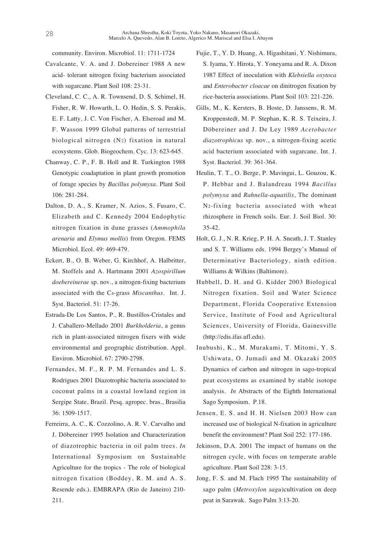community. Environ. Microbiol. 11: 1711-1724

- Cavalcante, V. A. and J. Dobereiner 1988 A new acid- tolerant nitrogen fixing bacterium associated with sugarcane. Plant Soil 108: 23-31.
- Cleveland, C. C., A. R. Townsend, D. S. Schimel, H. Fisher, R. W. Howarth, L. O. Hedin, S. S. Perakis, E. F. Latty, J. C. Von Fischer, A. Elseroad and M. F. Wasson 1999 Global patterns of terrestrial biological nitrogen (N2) fixation in natural ecosystems. Glob. Biogeochem. Cyc. 13: 623-645.
- Chanway, C. P., F. B. Holl and R. Turkington 1988 Genotypic coadaptation in plant growth promotion of forage species by *Bacillus polymyxa*. Plant Soil 106: 281-284.
- Dalton, D. A., S. Kramer, N. Azios, S. Fusaro, C. Elizabeth and C. Kennedy 2004 Endophytic nitrogen fixation in dune grasses (*Ammophila arenaria* and *Elymus mollis*) from Oregon. FEMS Microbiol. Ecol. 49: 469-479.
- Eckert, B., O. B. Weber, G. Kirchhof, A. Halbritter, M. Stoffels and A. Hartmann 2001 *Azospirillum doebereinerae* sp. nov., a nitrogen-fixing bacterium associated with the C4-grass *Miscanthus*. Int. J. Syst. Bacteriol. 51: 17-26.
- Estrada-De Los Santos, P., R. Bustillos-Cristales and J. Caballero-Mellado 2001 *Burkholderia*, a genus rich in plant-associated nitrogen fixers with wide environmental and geographic distribution. Appl. Environ. Microbiol. 67: 2790-2798.
- Fernandes, M. F., R. P. M. Fernandes and L. S. Rodrigues 2001 Diazotrophic bacteria associated to coconut palms in a coastal lowland region in Sergipe State, Brazil. Pesq. agropec. bras., Brasilia 36: 1509-1517.
- Ferreirra, A. C., K. Cozzolino, A. R. V. Carvalho and J. Döbereiner 1995 Isolation and Characterization of diazotrophic bacteria in oil palm trees. *In* International Symposium on Sustainable Agriculture for the tropics - The role of biological nitrogen fixation (Boddey, R. M. and A. S. Resende eds.). EMBRAPA (Rio de Janeiro) 210- 211.
- Fujie, T., Y. D. Huang, A. Higashitani, Y. Nishimura, S. Iyama, Y. Hirota, Y. Yoneyama and R. A. Dixon 1987 Effect of inoculation with *Klebsiella oxytoca* and *Enterobacter cloacae* on dinitrogen fixation by rice-bacteria associations. Plant Soil 103: 221-226.
- Gills, M., K. Kersters, B. Hoste, D. Janssens, R. M. Kroppenstedt, M. P. Stephan, K. R. S. Teixeira, J. Döbereiner and J. De Ley 1989 *Acetobacter diazotrophicus* sp. nov., a nitrogen-fixing acetic acid bacterium associated with sugarcane. Int. J. Syst. Bacteriol. 39: 361-364.
- Heulin, T. T., O. Berge, P. Mavingui, L. Gouzou, K. P. Hebbar and J. Balandreau 1994 *Bacillus polymyxa* and *Rahnella-aquatilis*, The dominant N2-fixing bacteria associated with wheat rhizosphere in French soils. Eur. J. Soil Biol. 30: 35-42.
- Holt, G. J., N. R. Krieg, P. H. A. Sneath, J. T. Stanley and S. T. Williams eds. 1994 Bergey's Manual of Determinative Bacteriology, ninth edition. Williams & Wilkins (Baltimore).
- Hubbell, D. H. and G. Kidder 2003 Biological Nitrogen fixation. Soil and Water Science Department, Florida Cooperative Extension Service, Institute of Food and Agricultural Sciences, University of Florida, Gainesville (http://edis.ifas.ufl.edu).
- Inubushi, K., M. Murakami, T. Mitomi, Y. S. Ushiwata, O. Jumadi and M. Okazaki 2005 Dynamics of carbon and nitrogen in sago-tropical peat ecosystems as examined by stable isotope analysis. *In* Abstracts of the Eighth International Sago Symposium. P.18.
- Jensen, E. S. and H. H. Nielsen 2003 How can increased use of biological N-fixation in agriculture benefit the environment? Plant Soil 252: 177-186.
- Jekinson, D.A. 2001 The impact of humans on the nitrogen cycle, with focus on temperate arable agriculture. Plant Soil 228: 3-15.
- Jong, F. S. and M. Flach 1995 The sustainability of sago palm (*Metroxylon sagu*)cultivation on deep peat in Sarawak. Sago Palm 3:13-20.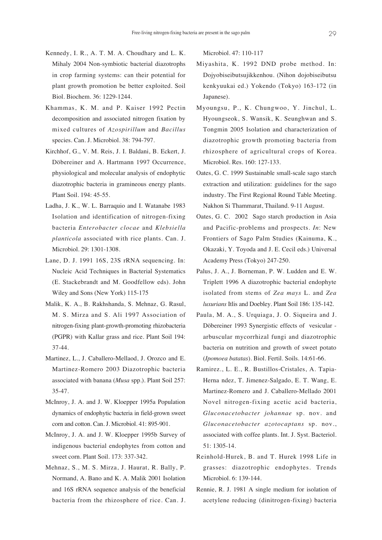- Kennedy, I. R., A. T. M. A. Choudhary and L. K. Mihaly 2004 Non-symbiotic bacterial diazotrophs in crop farming systems: can their potential for plant growth promotion be better exploited. Soil Biol. Biochem. 36: 1229-1244.
- Khammas, K. M. and P. Kaiser 1992 Pectin decomposition and associated nitrogen fixation by mixed cultures of *Azospirillum* and *Bacillus* species. Can. J. Microbiol. 38: 794-797.
- Kirchhof, G., V. M. Reis, J. I. Baldani, B. Eckert, J. Döbereiner and A. Hartmann 1997 Occurrence, physiological and molecular analysis of endophytic diazotrophic bacteria in gramineous energy plants. Plant Soil. 194: 45-55.
- Ladha, J. K., W. L. Barraquio and I. Watanabe 1983 Isolation and identification of nitrogen-fixing bacteria *Enterobacter clocae* and *Klebsiella planticola* associated with rice plants. Can. J. Microbiol. 29: 1301-1308.
- Lane, D. J. 1991 16S, 23S rRNA sequencing. In: Nucleic Acid Techniques in Bacterial Systematics (E. Stackebrandt and M. Goodfellow eds). John Wiley and Sons (New York) 115-175
- Malik, K. A., B. Rakhshanda, S. Mehnaz, G. Rasul, M. S. Mirza and S. Ali 1997 Association of nitrogen-fixing plant-growth-promoting rhizobacteria (PGPR) with Kallar grass and rice. Plant Soil 194: 37-44.
- Martinez, L., J. Caballero-Mellaod, J. Orozco and E. Martinez-Romero 2003 Diazotrophic bacteria associated with banana (*Musa* spp.). Plant Soil 257: 35-47.
- McInroy, J. A. and J. W. Kloepper 1995a Population dynamics of endophytic bacteria in field-grown sweet corn and cotton. Can. J. Microbiol. 41: 895-901.
- McInroy, J. A. and J. W. Kloepper 1995b Survey of indigenous bacterial endophytes from cotton and sweet corn. Plant Soil. 173: 337-342.
- Mehnaz, S., M. S. Mirza, J. Haurat, R. Bally, P. Normand, A. Bano and K. A. Malik 2001 Isolation and 16S rRNA sequence analysis of the beneficial bacteria from the rhizosphere of rice. Can. J.

Microbiol. 47: 110-117

- Miyashita, K. 1992 DND probe method. In: Dojyobiseibutsujikkenhou. (Nihon dojobiseibutsu kenkyuukai ed.) Yokendo (Tokyo) 163-172 (in Japanese).
- Myoungsu, P., K. Chungwoo, Y. Jinchul, L. Hyoungseok, S. Wansik, K. Seunghwan and S. Tongmin 2005 Isolation and characterization of diazotrophic growth promoting bacteria from rhizosphere of agricultural crops of Korea. Microbiol. Res. 160: 127-133.
- Oates, G. C. 1999 Sustainable small-scale sago starch extraction and utilization: guidelines for the sago industry. The First Regional Round Table Meeting. Nakhon Si Thammarat, Thailand. 9-11 August.
- Oates, G. C. 2002 Sago starch production in Asia and Pacific-problems and prospects. *In*: New Frontiers of Sago Palm Studies (Kainuma, K., Okazaki, Y. Toyoda and J. E. Cecil eds.) Universal Academy Press (Tokyo) 247-250.
- Palus, J. A., J. Borneman, P. W. Ludden and E. W. Triplett 1996 A diazotrophic bacterial endophyte isolated from stems of *Zea mays* L. and *Zea luxurians* Itlis and Doebley. Plant Soil 186: 135-142.
- Paula, M. A., S. Urquiaga, J. O. Siqueira and J. Döbereiner 1993 Synergistic effects of vesicular arbuscular mycorrhizal fungi and diazotrophic bacteria on nutrition and growth of sweet potato (*Ipomoea batatas*). Biol. Fertil. Soils. 14:61-66.
- Ramirez., L. E., R. Bustillos-Cristales, A. Tapia-Herna ndez, T. Jimenez-Salgado, E. T. Wang, E. Martinez-Romero and J. Caballero-Mellado 2001 Novel nitrogen-fixing acetic acid bacteria, *Gluconacetobacter johannae* sp. nov. and *Gluconacetobacter azotocaptans* sp. nov., associated with coffee plants. Int. J. Syst. Bacteriol. 51: 1305-14.
- Reinhold-Hurek, B. and T. Hurek 1998 Life in grasses: diazotrophic endophytes. Trends Microbiol. 6: 139-144.
- Rennie, R. J. 1981 A single medium for isolation of acetylene reducing (dinitrogen-fixing) bacteria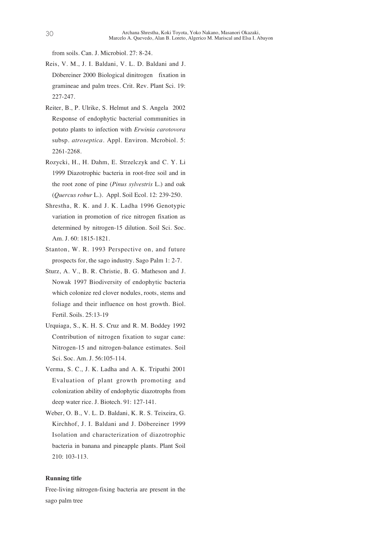from soils. Can. J. Microbiol. 27: 8-24.

- Reis, V. M., J. I. Baldani, V. L. D. Baldani and J. Döbereiner 2000 Biological dinitrogen fixation in gramineae and palm trees. Crit. Rev. Plant Sci. 19: 227-247.
- Reiter, B., P. Ulrike, S. Helmut and S. Angela 2002 Response of endophytic bacterial communities in potato plants to infection with *Erwinia carotovora* subsp. *atroseptica*. Appl. Environ. Mcrobiol. 5: 2261-2268.
- Rozycki, H., H. Dahm, E. Strzelczyk and C. Y. Li 1999 Diazotrophic bacteria in root-free soil and in the root zone of pine (*Pinus sylvestris* L.) and oak (*Quercus robur* L.). Appl. Soil Ecol. 12: 239-250.
- Shrestha, R. K. and J. K. Ladha 1996 Genotypic variation in promotion of rice nitrogen fixation as determined by nitrogen-15 dilution. Soil Sci. Soc. Am. J. 60: 1815-1821.
- Stanton, W. R. 1993 Perspective on, and future prospects for, the sago industry. Sago Palm 1: 2-7.
- Sturz, A. V., B. R. Christie, B. G. Matheson and J. Nowak 1997 Biodiversity of endophytic bacteria which colonize red clover nodules, roots, stems and foliage and their influence on host growth. Biol. Fertil. Soils. 25:13-19
- Urquiaga, S., K. H. S. Cruz and R. M. Boddey 1992 Contribution of nitrogen fixation to sugar cane: Nitrogen-15 and nitrogen-balance estimates. Soil Sci. Soc. Am. J. 56:105-114.
- Verma, S. C., J. K. Ladha and A. K. Tripathi 2001 Evaluation of plant growth promoting and colonization ability of endophytic diazotrophs from deep water rice. J. Biotech. 91: 127-141.
- Weber, O. B., V. L. D. Baldani, K. R. S. Teixeira, G. Kirchhof, J. I. Baldani and J. Döbereiner 1999 Isolation and characterization of diazotrophic bacteria in banana and pineapple plants. Plant Soil 210: 103-113.

#### **Running title**

Free-living nitrogen-fixing bacteria are present in the sago palm tree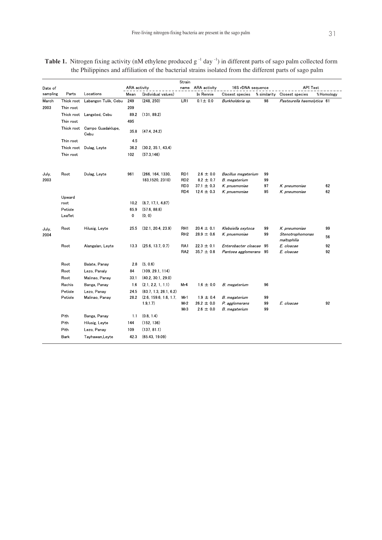|                     |             |                      | ARA activity |                        | Strain          |                           |                                      |              | <b>API Test</b>                 |            |
|---------------------|-------------|----------------------|--------------|------------------------|-----------------|---------------------------|--------------------------------------|--------------|---------------------------------|------------|
| Date of<br>sampling | Parts       | Locations            | Mean         | (Individual values)    | name            | ARA activity<br>In Rennie | 16S rDNA sequence<br>Closest species | % similarity | Closest species                 | % Homology |
| March               | Thick root  | Labangon Tulik, Cebu | 249          | (248, 250)             | LR1             | $01 \pm 00$               | Burkholderia sp.                     | 98           | Pasteurella haemolytica 61      |            |
| 2003                | Thin root   |                      | 209          |                        |                 |                           |                                      |              |                                 |            |
|                     | Thick root  | Langsted, Cebu       | 89.2         | (131, 89.2)            |                 |                           |                                      |              |                                 |            |
|                     | Thin root   |                      | 495          |                        |                 |                           |                                      |              |                                 |            |
|                     | Thick root  | Campo Guadaklupe,    |              |                        |                 |                           |                                      |              |                                 |            |
|                     |             | Cebu                 | 358          | (474, 242)             |                 |                           |                                      |              |                                 |            |
|                     | Thin root   |                      | 45           |                        |                 |                           |                                      |              |                                 |            |
|                     | Thick root  | Dulag, Leyte         | 36.2         | (30.2, 35.1, 43.4)     |                 |                           |                                      |              |                                 |            |
|                     | Thin root   |                      | 102          | (573.146)              |                 |                           |                                      |              |                                 |            |
| July,               | Root        | Dulag, Leyte         | 961          | (266, 164, 1330,       | RD <sub>1</sub> | $2.6 \pm 0.0$             | Bacillus megaterium                  | 99           |                                 |            |
| 2003                |             |                      |              | 183,1520, 2310)        | RD <sub>2</sub> | $82 \pm 0.7$              | B. megaterium                        | 99           |                                 |            |
|                     |             |                      |              |                        | RD3             | $371 \pm 03$              | K. pnuemoniae                        | 97           | K. pneumoniae                   | 62         |
|                     |             |                      |              |                        | RD4             | $12.4 \pm 0.3$            | K. pnuemoniae                        | 95           | K. pneumoniae                   | 62         |
|                     | Upward      |                      |              |                        |                 |                           |                                      |              |                                 |            |
|                     | root        |                      | 10.2         | (87, 171, 487)         |                 |                           |                                      |              |                                 |            |
|                     | Petiole     |                      | 659          | (576, 888)             |                 |                           |                                      |              |                                 |            |
|                     | Leaflet     |                      | 0            | (0, 0)                 |                 |                           |                                      |              |                                 |            |
| July,<br>2004       | Root        | Hilusig, Leyte       | 255          | (32.1, 20.4, 23.9)     | RH <sub>1</sub> | $204 \pm 0.1$             | Klebsiella oxytoca                   | 99           | K. pneumoniae                   | 99         |
|                     |             |                      |              |                        | RH <sub>2</sub> | $289 \pm 06$              | K. pnuemoniae                        | 99           | Stenotrophomonas<br>maltophilia | 56         |
|                     | Root        | Alangalan, Leyte     | 133          | (256, 137, 07)         | RA1             | $223 \pm 01$              | Enterobacter cloacae 95              |              | E. cloacae                      | 92         |
|                     |             |                      |              |                        | RA <sub>2</sub> | $357 \pm 08$              | Pantoea agglomerans 95               |              | E. cloacae                      | 92         |
|                     | Root        | Balate, Panav        | 2.8          | (5, 0.6)               |                 |                           |                                      |              |                                 |            |
|                     | Root        | Lezo, Panaly         | 84           | (109, 29.1, 114)       |                 |                           |                                      |              |                                 |            |
|                     | Root        | Malinao, Panay       | 331          | (402, 301, 290)        |                 |                           |                                      |              |                                 |            |
|                     | Rachis      | Banga, Panay         | 16           | (2.1, 2.2, 1, 1.1)     | Mr4             | $16 \pm 00$               | B. megaterium                        | 96           |                                 |            |
|                     | Petiole     | Lezo, Panay          | 24.5         | (63.7, 1.3, 26.1, 6.2) |                 |                           |                                      |              |                                 |            |
|                     | Petiole     | Malinao, Panay       | 28.2         | (2.6, 159.6, 1.6, 1.7, | Mr1             | $1.9 \pm 0.4$             | B. megaterium                        | 99           |                                 |            |
|                     |             |                      |              | 1.9, 1.7)              | Mr2             | $26.2 \pm 0.0$            | P. agglomerans                       | 99           | E. cloacae                      | 92         |
|                     |             |                      |              |                        | Mr3             | $26 \pm 00$               | B. megaterium                        | 99           |                                 |            |
|                     | Pith        | Banga, Panay         | 1.1          | (0.8, 1.4)             |                 |                           |                                      |              |                                 |            |
|                     | Pith        | Hilusig, Leyte       | 144          | (152, 136)             |                 |                           |                                      |              |                                 |            |
|                     | Pith        | Lezo, Panay          | 109          | (137, 81.1)            |                 |                           |                                      |              |                                 |            |
|                     | <b>Bark</b> | Tayhawan, Leyte      | 423          | (6543, 1909)           |                 |                           |                                      |              |                                 |            |

**Table 1.** Nitrogen fixing activity (nM ethylene produced g<sup>-1</sup> day<sup>-1</sup>) in different parts of sago palm collected form the Philippines and affiliation of the bacterial strains isolated from the different parts of sago palm